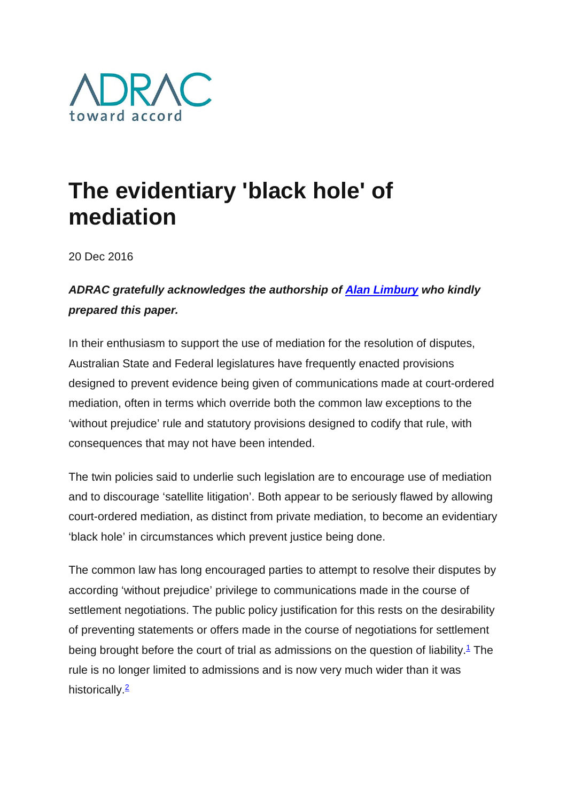

## **The evidentiary 'black hole' of mediation**

20 Dec 2016

## *ADRAC gratefully acknowledges the authorship of [Alan Limbury](https://www.strategic-resolution.com/alan-limbury-bio/) who kindly prepared this paper.*

In their enthusiasm to support the use of mediation for the resolution of disputes, Australian State and Federal legislatures have frequently enacted provisions designed to prevent evidence being given of communications made at court-ordered mediation, often in terms which override both the common law exceptions to the 'without prejudice' rule and statutory provisions designed to codify that rule, with consequences that may not have been intended.

The twin policies said to underlie such legislation are to encourage use of mediation and to discourage 'satellite litigation'. Both appear to be seriously flawed by allowing court-ordered mediation, as distinct from private mediation, to become an evidentiary 'black hole' in circumstances which prevent justice being done.

The common law has long encouraged parties to attempt to resolve their disputes by according 'without prejudice' privilege to communications made in the course of settlement negotiations. The public policy justification for this rests on the desirability of preventing statements or offers made in the course of negotiations for settlement being brought before the court of trial as admissions on the question of liability.<sup>1</sup> The rule is no longer limited to admissions and is now very much wider than it was historically.<sup>2</sup>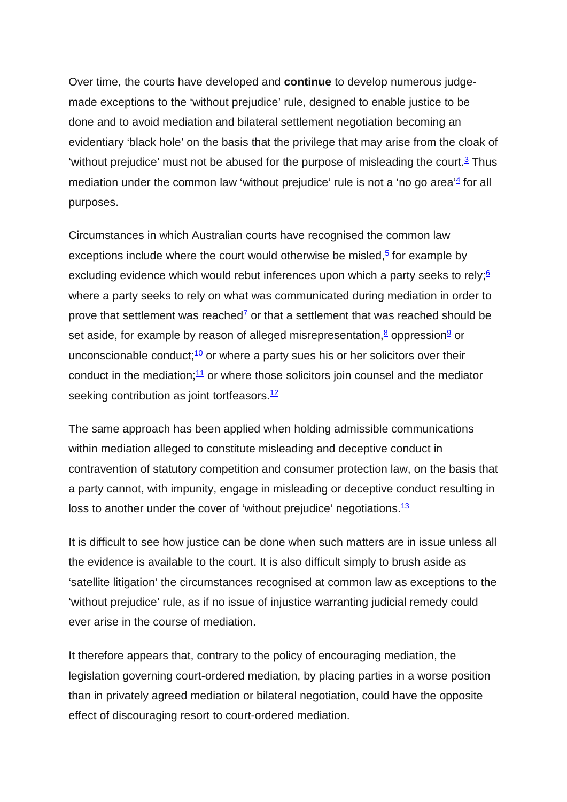Over time, the courts have developed and **continue** to develop numerous judgemade exceptions to the 'without prejudice' rule, designed to enable justice to be done and to avoid mediation and bilateral settlement negotiation becoming an evidentiary 'black hole' on the basis that the privilege that may arise from the cloak of 'without prejudice' must not be abused for the purpose of misleading the court.<sup>3</sup> Thus mediation under the common law 'without prejudice' rule is not a 'no go area' $4$  for all purposes.

Circumstances in which Australian courts have recognised the common law exceptions include where the court would otherwise be misled.<sup>5</sup> for example by excluding evidence which would rebut inferences upon which a party seeks to rely;  $6$ where a party seeks to rely on what was communicated during mediation in order to prove that settlement was reached<sup> $7$ </sup> or that a settlement that was reached should be set aside, for example by reason of alleged misrepresentation,<sup>8</sup> oppression<sup>9</sup> or unconscionable conduct: $\frac{10}{10}$  or where a party sues his or her solicitors over their conduct in the mediation; $\frac{11}{2}$  or where those solicitors join counsel and the mediator seeking contribution as joint tortfeasors.<sup>12</sup>

The same approach has been applied when holding admissible communications within mediation alleged to constitute misleading and deceptive conduct in contravention of statutory competition and consumer protection law, on the basis that a party cannot, with impunity, engage in misleading or deceptive conduct resulting in loss to another under the cover of 'without prejudice' negotiations.<sup>13</sup>

It is difficult to see how justice can be done when such matters are in issue unless all the evidence is available to the court. It is also difficult simply to brush aside as 'satellite litigation' the circumstances recognised at common law as exceptions to the 'without prejudice' rule, as if no issue of injustice warranting judicial remedy could ever arise in the course of mediation.

It therefore appears that, contrary to the policy of encouraging mediation, the legislation governing court-ordered mediation, by placing parties in a worse position than in privately agreed mediation or bilateral negotiation, could have the opposite effect of discouraging resort to court-ordered mediation.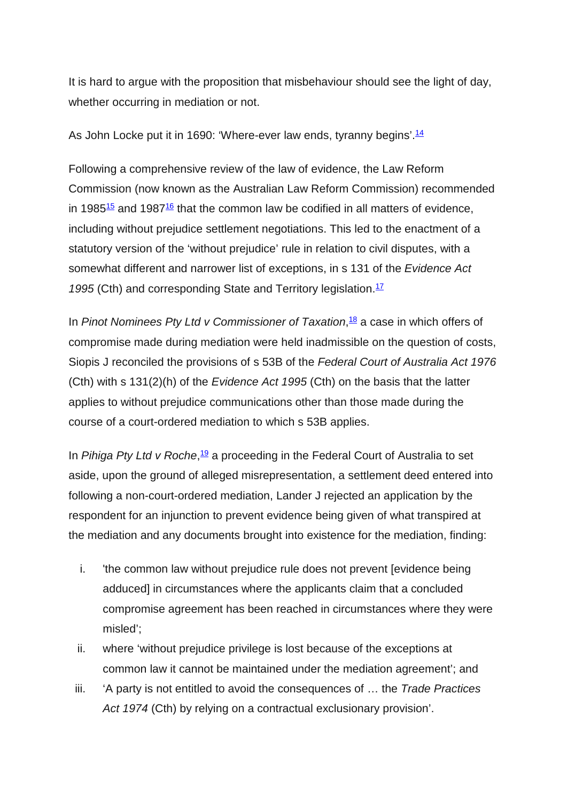It is hard to argue with the proposition that misbehaviour should see the light of day, whether occurring in mediation or not.

As John Locke put it in 1690: 'Where-ever law ends, tyranny begins'.<sup>14</sup>

Following a comprehensive review of the law of evidence, the Law Reform Commission (now known as the Australian Law Reform Commission) recommended in 1985 $\frac{15}{2}$  and 1987 $\frac{16}{2}$  that the common law be codified in all matters of evidence, including without prejudice settlement negotiations. This led to the enactment of a statutory version of the 'without prejudice' rule in relation to civil disputes, with a somewhat different and narrower list of exceptions, in s 131 of the *Evidence Act*  1995 (Cth) and corresponding State and Territory legislation.<sup>17</sup>

In *Pinot Nominees Pty Ltd v Commissioner of Taxation*, [18](http://www.adrac.org.au/adr-mapping/the-evidentiary-black-hole-of-mediation#note18) a case in which offers of compromise made during mediation were held inadmissible on the question of costs, Siopis J reconciled the provisions of s 53B of the *Federal Court of Australia Act 1976* (Cth) with s 131(2)(h) of the *Evidence Act 1995* (Cth) on the basis that the latter applies to without prejudice communications other than those made during the course of a court-ordered mediation to which s 53B applies.

In Pihiga Pty Ltd v Roche,<sup>[19](http://www.adrac.org.au/adr-mapping/the-evidentiary-black-hole-of-mediation#note19)</sup> a proceeding in the Federal Court of Australia to set aside, upon the ground of alleged misrepresentation, a settlement deed entered into following a non-court-ordered mediation, Lander J rejected an application by the respondent for an injunction to prevent evidence being given of what transpired at the mediation and any documents brought into existence for the mediation, finding:

- i. 'the common law without prejudice rule does not prevent [evidence being adduced] in circumstances where the applicants claim that a concluded compromise agreement has been reached in circumstances where they were misled';
- ii. where 'without prejudice privilege is lost because of the exceptions at common law it cannot be maintained under the mediation agreement'; and
- iii. 'A party is not entitled to avoid the consequences of … the *Trade Practices Act 1974* (Cth) by relying on a contractual exclusionary provision'.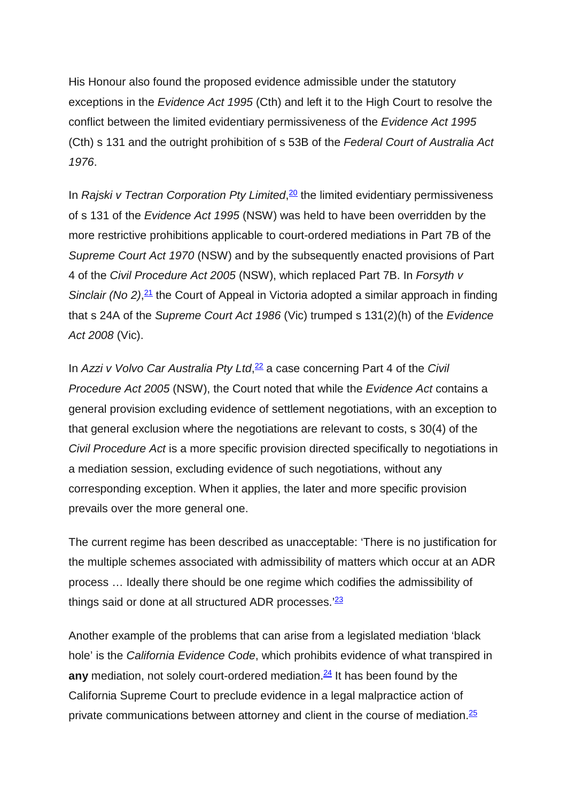His Honour also found the proposed evidence admissible under the statutory exceptions in the *Evidence Act 1995* (Cth) and left it to the High Court to resolve the conflict between the limited evidentiary permissiveness of the *Evidence Act 1995* (Cth) s 131 and the outright prohibition of s 53B of the *Federal Court of Australia Act 1976*.

In *Rajski v Tectran Corporation Pty Limited*,<sup>[20](http://www.adrac.org.au/adr-mapping/the-evidentiary-black-hole-of-mediation#note20)</sup> the limited evidentiary permissiveness of s 131 of the *Evidence Act 1995* (NSW) was held to have been overridden by the more restrictive prohibitions applicable to court-ordered mediations in Part 7B of the *Supreme Court Act 1970* (NSW) and by the subsequently enacted provisions of Part 4 of the *Civil Procedure Act 2005* (NSW), which replaced Part 7B. In *Forsyth v*  Sinclair (No 2),<sup>[21](http://www.adrac.org.au/adr-mapping/the-evidentiary-black-hole-of-mediation#note21)</sup> the Court of Appeal in Victoria adopted a similar approach in finding that s 24A of the *Supreme Court Act 1986* (Vic) trumped s 131(2)(h) of the *Evidence Act 2008* (Vic).

In Azzi v Volvo Car Australia Pty Ltd,<sup>[22](http://www.adrac.org.au/adr-mapping/the-evidentiary-black-hole-of-mediation#note22)</sup> a case concerning Part 4 of the Civil *Procedure Act 2005* (NSW), the Court noted that while the *Evidence Act* contains a general provision excluding evidence of settlement negotiations, with an exception to that general exclusion where the negotiations are relevant to costs, s 30(4) of the *Civil Procedure Act* is a more specific provision directed specifically to negotiations in a mediation session, excluding evidence of such negotiations, without any corresponding exception. When it applies, the later and more specific provision prevails over the more general one.

The current regime has been described as unacceptable: 'There is no justification for the multiple schemes associated with admissibility of matters which occur at an ADR process … Ideally there should be one regime which codifies the admissibility of things said or done at all structured ADR processes.<sup>['23](http://www.adrac.org.au/adr-mapping/the-evidentiary-black-hole-of-mediation#note23)</sup>

Another example of the problems that can arise from a legislated mediation 'black hole' is the *California Evidence Code*, which prohibits evidence of what transpired in **any** mediation, not solely court-ordered mediation.<sup>24</sup> It has been found by the California Supreme Court to preclude evidence in a legal malpractice action of private communications between attorney and client in the course of mediation.<sup>25</sup>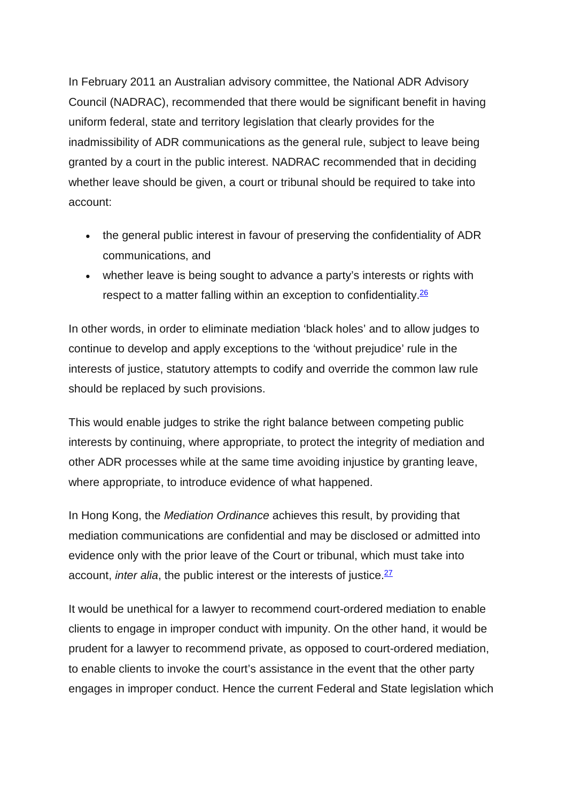In February 2011 an Australian advisory committee, the National ADR Advisory Council (NADRAC), recommended that there would be significant benefit in having uniform federal, state and territory legislation that clearly provides for the inadmissibility of ADR communications as the general rule, subject to leave being granted by a court in the public interest. NADRAC recommended that in deciding whether leave should be given, a court or tribunal should be required to take into account:

- the general public interest in favour of preserving the confidentiality of ADR communications, and
- whether leave is being sought to advance a party's interests or rights with respect to a matter falling within an exception to confidentiality. $\frac{26}{5}$

In other words, in order to eliminate mediation 'black holes' and to allow judges to continue to develop and apply exceptions to the 'without prejudice' rule in the interests of justice, statutory attempts to codify and override the common law rule should be replaced by such provisions.

This would enable judges to strike the right balance between competing public interests by continuing, where appropriate, to protect the integrity of mediation and other ADR processes while at the same time avoiding injustice by granting leave, where appropriate, to introduce evidence of what happened.

In Hong Kong, the *Mediation Ordinance* achieves this result, by providing that mediation communications are confidential and may be disclosed or admitted into evidence only with the prior leave of the Court or tribunal, which must take into account, *inter alia*, the public interest or the interests of justice.<sup>27</sup>

It would be unethical for a lawyer to recommend court-ordered mediation to enable clients to engage in improper conduct with impunity. On the other hand, it would be prudent for a lawyer to recommend private, as opposed to court-ordered mediation, to enable clients to invoke the court's assistance in the event that the other party engages in improper conduct. Hence the current Federal and State legislation which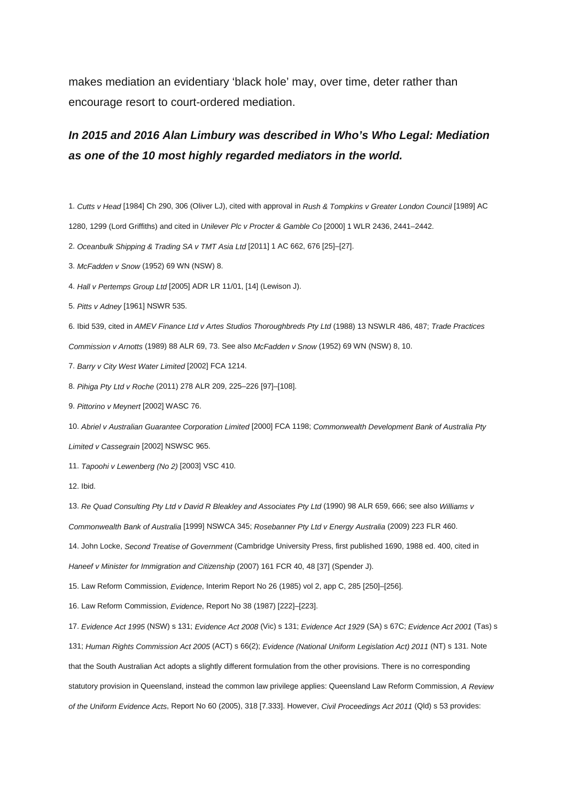makes mediation an evidentiary 'black hole' may, over time, deter rather than encourage resort to court-ordered mediation.

## *In 2015 and 2016 Alan Limbury was described in Who's Who Legal: Mediation as one of the 10 most highly regarded mediators in the world.*

1. *Cutts v Head* [1984] Ch 290, 306 (Oliver LJ), cited with approval in *Rush & Tompkins v Greater London Council* [1989] AC 1280, 1299 (Lord Griffiths) and cited in *Unilever Plc v Procter & Gamble Co* [2000] 1 WLR 2436, 2441–2442.

2. *Oceanbulk Shipping & Trading SA v TMT Asia Ltd* [2011] 1 AC 662, 676 [25]–[27].

- 3. *McFadden v Snow* (1952) 69 WN (NSW) 8.
- 4. *Hall v Pertemps Group Ltd* [2005] ADR LR 11/01, [14] (Lewison J).
- 5. *Pitts v Adney* [1961] NSWR 535.

6. Ibid 539, cited in *AMEV Finance Ltd v Artes Studios Thoroughbreds Pty Ltd* (1988) 13 NSWLR 486, 487; *Trade Practices Commission v Arnotts* (1989) 88 ALR 69, 73. See also *McFadden v Snow* (1952) 69 WN (NSW) 8, 10.

- 7. *Barry v City West Water Limited* [2002] FCA 1214.
- 8. *Pihiga Pty Ltd v Roche* (2011) 278 ALR 209, 225–226 [97]–[108].
- 9. *Pittorino v Meynert* [2002] WASC 76.

10. *Abriel v Australian Guarantee Corporation Limited* [2000] FCA 1198; *Commonwealth Development Bank of Australia Pty Limited v Cassegrain* [2002] NSWSC 965.

11. *Tapoohi v Lewenberg (No 2)* [2003] VSC 410.

12. Ibid.

13. *Re Quad Consulting Pty Ltd v David R Bleakley and Associates Pty Ltd* (1990) 98 ALR 659, 666; see also *Williams v Commonwealth Bank of Australia* [1999] NSWCA 345; *Rosebanner Pty Ltd v Energy Australia* (2009) 223 FLR 460.

14. John Locke, *Second Treatise of Government* (Cambridge University Press, first published 1690, 1988 ed. 400, cited in

*Haneef v Minister for Immigration and Citizenship* (2007) 161 FCR 40, 48 [37] (Spender J).

15. Law Reform Commission, *Evidence*, Interim Report No 26 (1985) vol 2, app C, 285 [250]–[256].

16. Law Reform Commission, *Evidence*, Report No 38 (1987) [222]–[223].

17. *Evidence Act 1995* (NSW) s 131; *Evidence Act 2008* (Vic) s 131; *Evidence Act 1929* (SA) s 67C; *Evidence Act 2001* (Tas) s

131; *Human Rights Commission Act 2005* (ACT) s 66(2); *Evidence (National Uniform Legislation Act) 2011* (NT) s 131. Note that the South Australian Act adopts a slightly different formulation from the other provisions. There is no corresponding statutory provision in Queensland, instead the common law privilege applies: Queensland Law Reform Commission, *A Review of the Uniform Evidence Acts*, Report No 60 (2005), 318 [7.333]. However, *Civil Proceedings Act 2011* (Qld) s 53 provides: